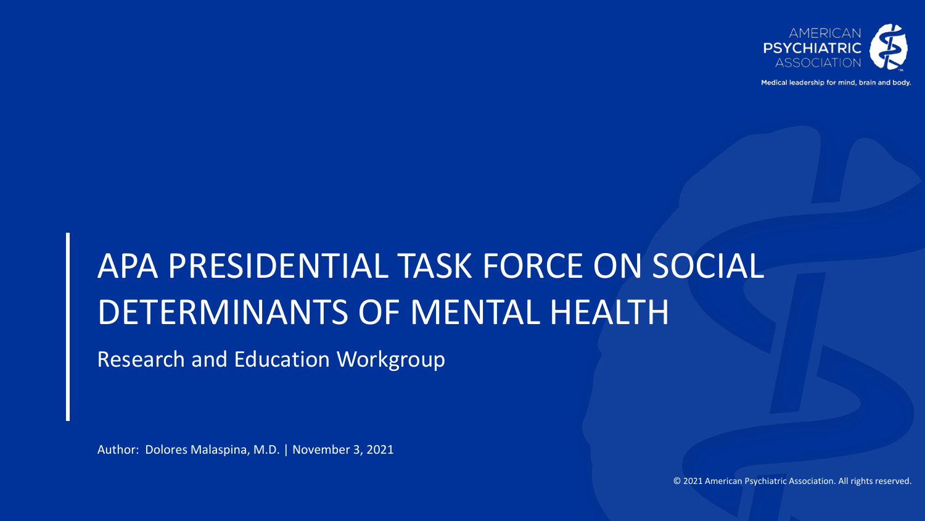

Medical leadership for mind, brain and body

# APA PRESIDENTIAL TASK FORCE ON SOCIAL DETERMINANTS OF MENTAL HEALTH

Research and Education Workgroup

Author: Dolores Malaspina, M.D. | November 3, 2021

© 2021 American Psychiatric Association. All rights reserved.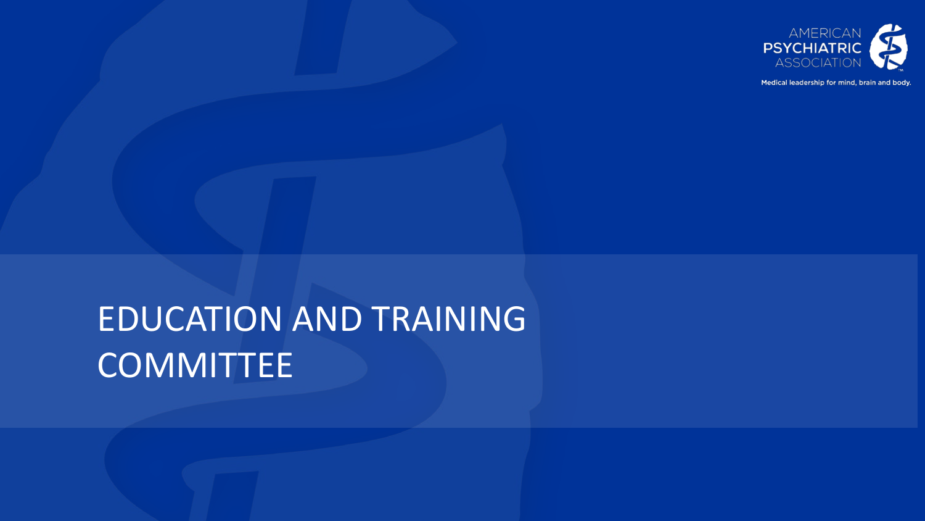

Medical leadership for mind, brain and body.

# EDUCATION AND TRAINING **COMMITTEE**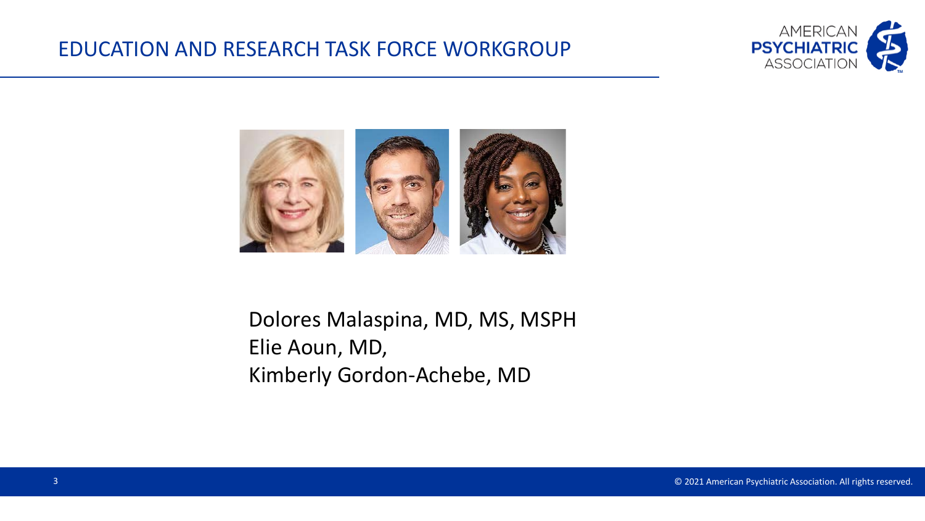#### EDUCATION AND RESEARCH TASK FORCE WORKGROUP





# Dolores Malaspina, MD, MS, MSPH Elie Aoun, MD, Kimberly Gordon-Achebe, MD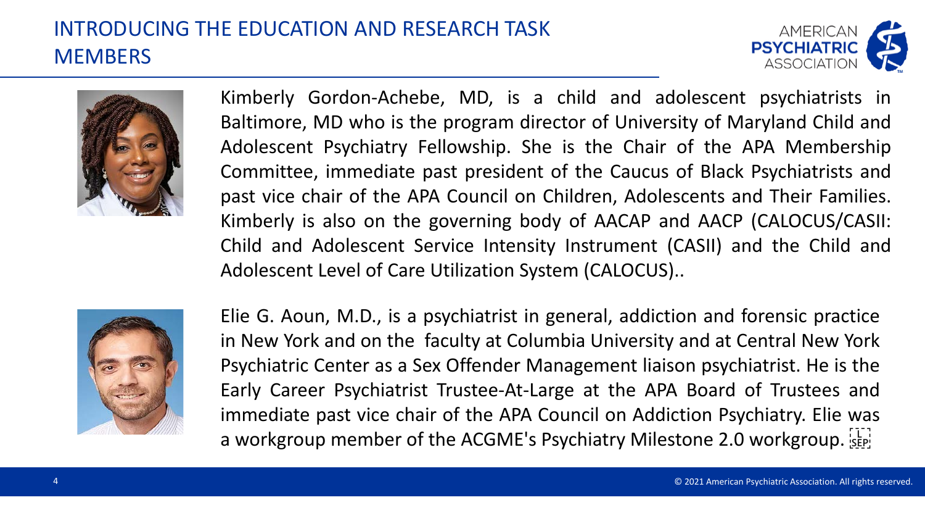# INTRODUCING THE EDUCATION AND RESEARCH TASK **MEMBERS**





Kimberly Gordon-Achebe, MD, is a child and adolescent psychiatrists in Baltimore, MD who is the program director of University of Maryland Child and Adolescent Psychiatry Fellowship. She is the Chair of the APA Membership Committee, immediate past president of the Caucus of Black Psychiatrists and past vice chair of the APA Council on Children, Adolescents and Their Families. Kimberly is also on the governing body of AACAP and AACP (CALOCUS/CASII: Child and Adolescent Service Intensity Instrument (CASII) and the Child and Adolescent Level of Care Utilization System (CALOCUS)..



Elie G. Aoun, M.D., is a psychiatrist in general, addiction and forensic practice in New York and on the faculty at Columbia University and at Central New York Psychiatric Center as a Sex Offender Management liaison psychiatrist. He is the Early Career Psychiatrist Trustee-At-Large at the APA Board of Trustees and immediate past vice chair of the APA Council on Addiction Psychiatry. Elie was a workgroup member of the ACGME's Psychiatry Milestone 2.0 workgroup.  $\frac{1}{15}$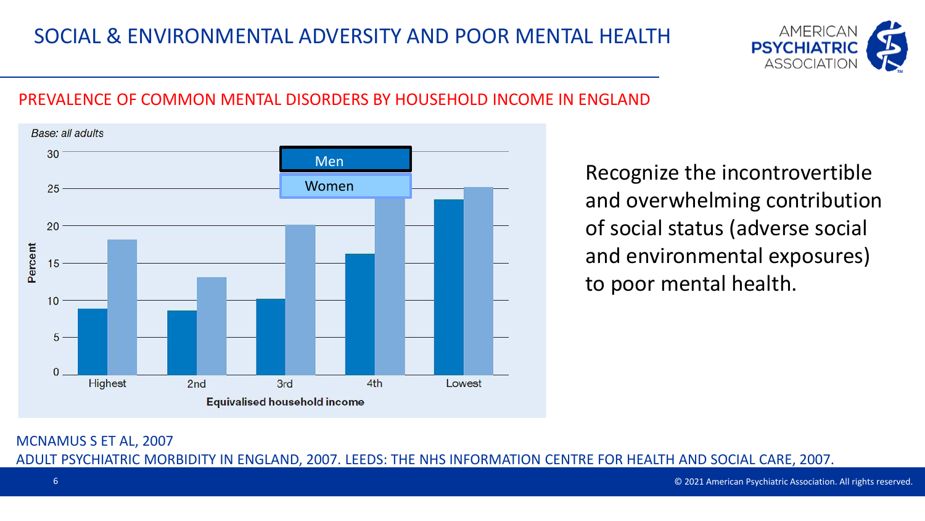

#### PREVALENCE OF COMMON MENTAL DISORDERS BY HOUSEHOLD INCOME IN ENGLAND



Recognize the incontrovertible and overwhelming contribution of social status (adverse social and environmental exposures) to poor mental health.

MCNAMUS S ET AL, 2007 ADULT PSYCHIATRIC MORBIDITY IN ENGLAND, 2007. LEEDS: THE NHS INFORMATION CENTRE FOR HEALTH AND SOCIAL CARE, 2007.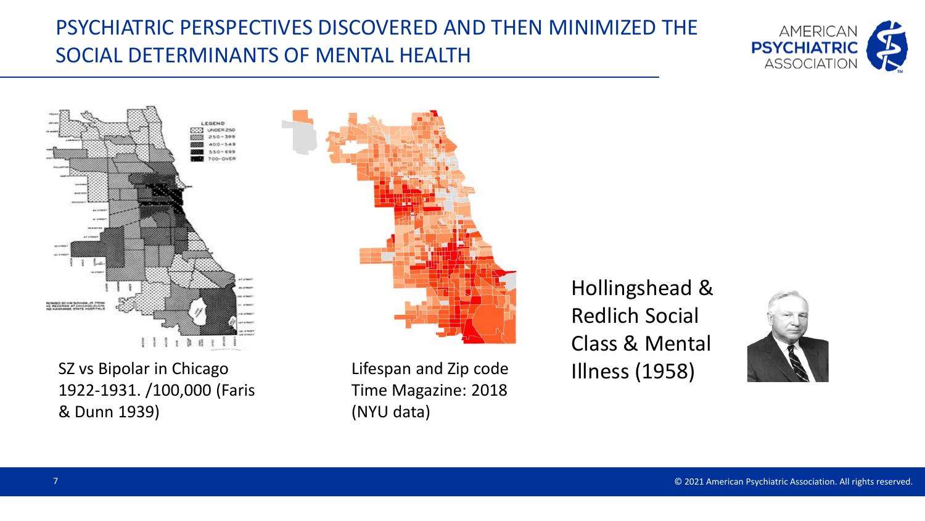# PSYCHIATRIC PERSPECTIVES DISCOVERED AND THEN MINIMIZED THE SOCIAL DETERMINANTS OF MENTAL HEALTH





SZ vs Bipolar in Chicago 1922-1931. /100,000 (Faris & Dunn 1939)

Lifespan and Zip code Time Magazine: 2018 (NYU data)

Hollingshead & Redlich Social Class & Mental Illness (1958)

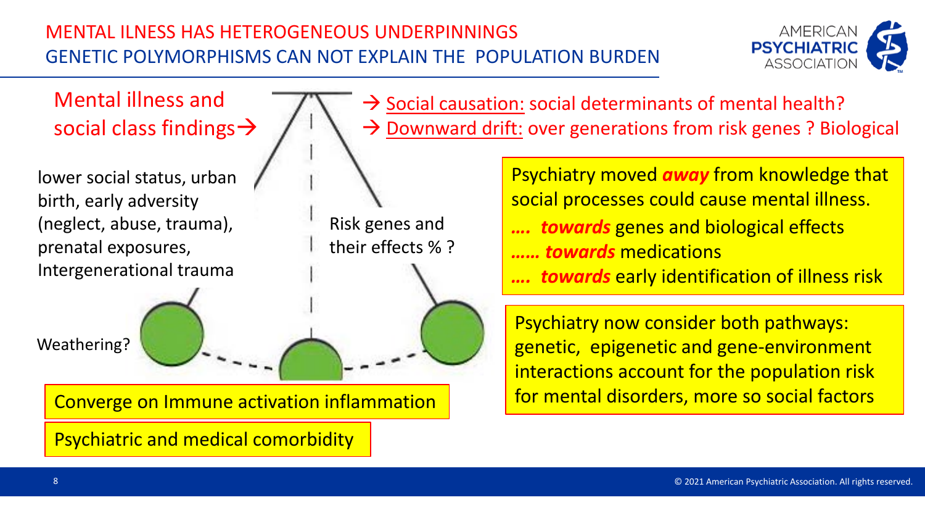#### MENTAL ILNESS HAS HETEROGENEOUS UNDERPINNINGS GENETIC POLYMORPHISMS CAN NOT EXPLAIN THE POPULATION BURDEN



Risk genes and their effects % ? Weathering? lower social status, urban birth, early adversity (neglect, abuse, trauma), prenatal exposures, Intergenerational trauma Converge on Immune activation inflammation Psychiatric and medical comorbidity Psychiatry moved *away* from knowledge that social processes could cause mental illness. **towards** genes and biological effects *…… towards* medications **towards** early identification of illness risk Mental illness and social class findings  $\rightarrow$  $\rightarrow$  Social causation: social determinants of mental health?  $\rightarrow$  Downward drift: over generations from risk genes ? Biological Psychiatry now consider both pathways: genetic, epigenetic and gene-environment interactions account for the population risk for mental disorders, more so social factors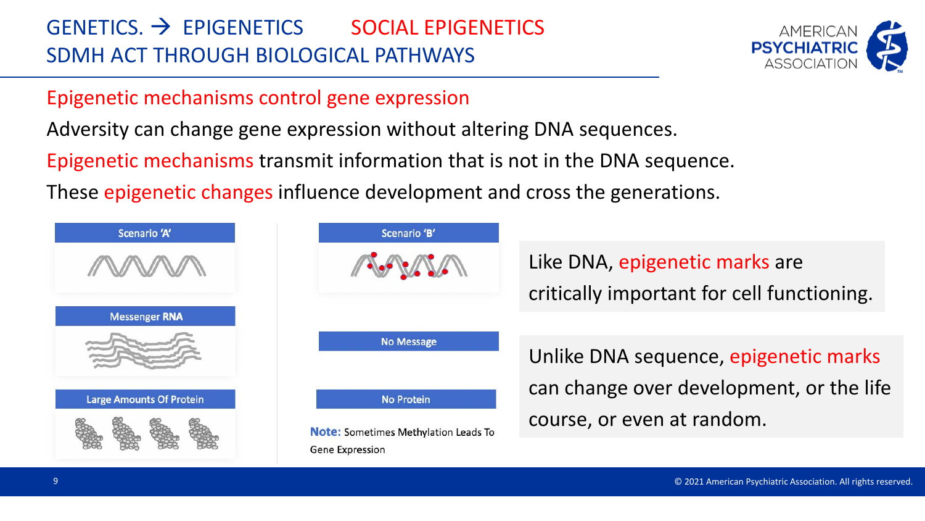# $GENETICS.$   $\rightarrow$  EPIGENETICS SOCIAL EPIGENETICS SDMH ACT THROUGH BIOLOGICAL PATHWAYS



#### Epigenetic mechanisms control gene expression

Adversity can change gene expression without altering DNA sequences.

Epigenetic mechanisms transmit information that is not in the DNA sequence.

These epigenetic changes influence development and cross the generations.





Like DNA, epigenetic marks are critically important for cell functioning.

Unlike DNA sequence, epigenetic marks can change over development, or the life course, or even at random.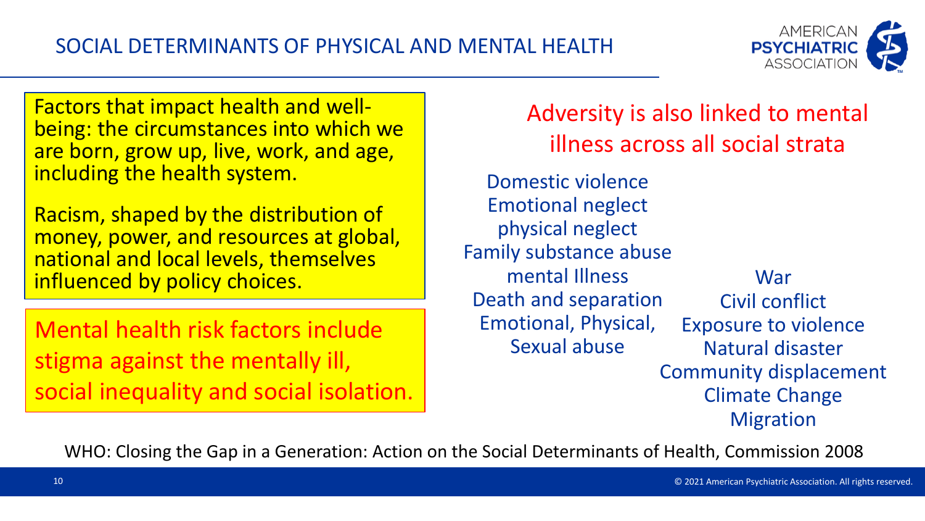

Factors that impact health and well- being: the circumstances into which we are born, grow up, live, work, and age, including the health system.

Racism, shaped by the distribution of money, power, and resources at global, national and local levels, themselves influenced by policy choices.

Mental health risk factors include stigma against the mentally ill, social inequality and social isolation. Adversity is also linked to mental illness across all social strata

Domestic violence Emotional neglect physical neglect Family substance abuse mental Illness Death and separation Emotional, Physical, Sexual abuse War Civil conflict Exposure to violence Natural disaster Community displacement Climate Change Migration

WHO: Closing the Gap in a Generation: Action on the Social Determinants of Health, Commission 2008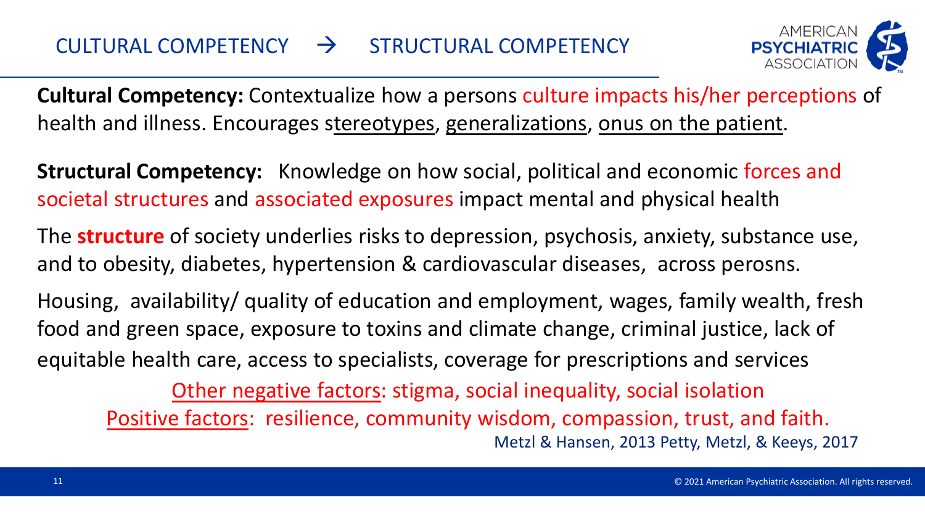

**Cultural Competency:** Contextualize how a persons culture impacts his/her perceptions of health and illness. Encourages stereotypes, generalizations, onus on the patient.

**Structural Competency:** Knowledge on how social, political and economic forces and societal structures and associated exposures impact mental and physical health

The **structure** of society underlies risks to depression, psychosis, anxiety, substance use, and to obesity, diabetes, hypertension & cardiovascular diseases, across perosns.

Housing, availability/ quality of education and employment, wages, family wealth, fresh food and green space, exposure to toxins and climate change, criminal justice, lack of equitable health care, access to specialists, coverage for prescriptions and services

Other negative factors: stigma, social inequality, social isolation Positive factors: resilience, community wisdom, compassion, trust, and faith. Metzl & Hansen, 2013 Petty, Metzl, & Keeys, 2017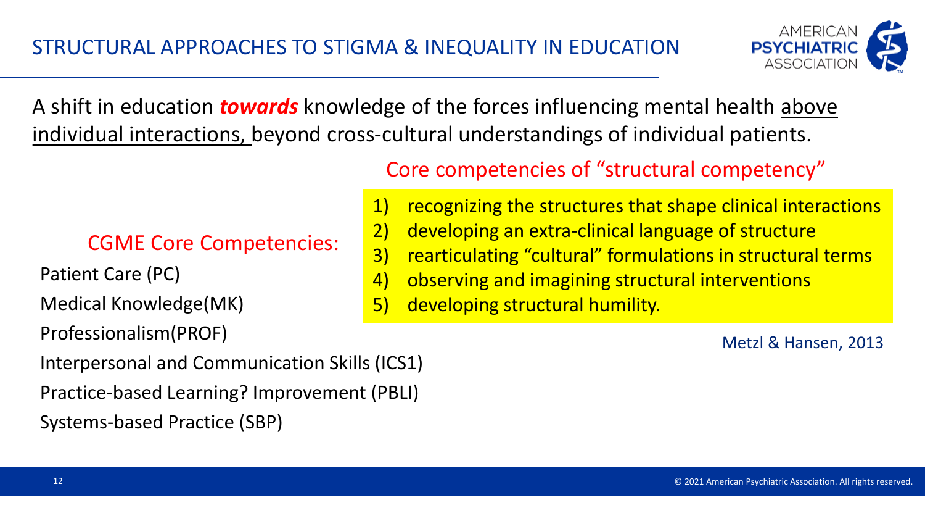

A shift in education *towards* knowledge of the forces influencing mental health above individual interactions, beyond cross-cultural understandings of individual patients.

CGME Core Competencies:

Patient Care (PC)

Medical Knowledge(MK)

Professionalism(PROF)

Interpersonal and Communication Skills (ICS1)

Practice-based Learning? Improvement (PBLI)

Systems-based Practice (SBP)

Core competencies of "structural competency"

- 1) recognizing the structures that shape clinical interactions
- 2) developing an extra-clinical language of structure
- 3) rearticulating "cultural" formulations in structural terms
- 4) observing and imagining structural interventions
- 5) developing structural humility.

Metzl & Hansen, 2013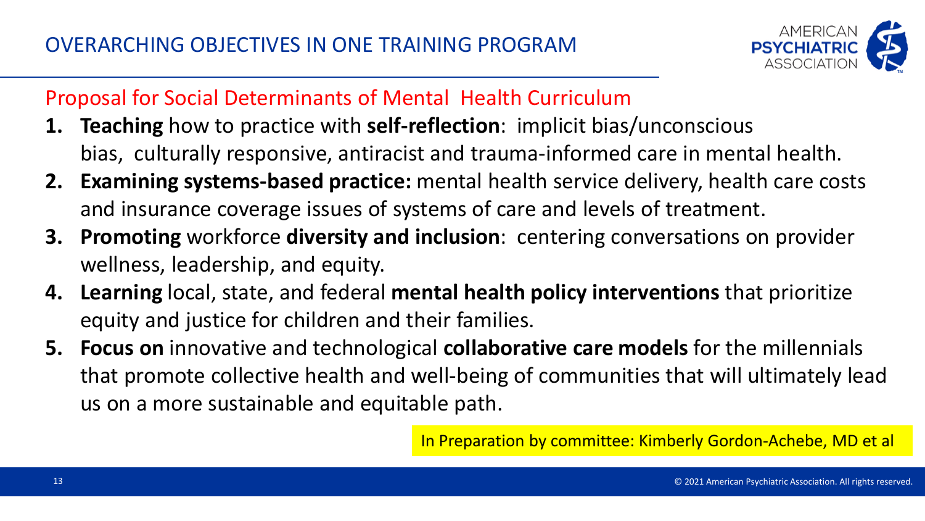

#### Proposal for Social Determinants of Mental Health Curriculum

- **1. Teaching** how to practice with **self-reflection**: implicit bias/unconscious bias, culturally responsive, antiracist and trauma-informed care in mental health.
- **2. Examining systems-based practice:** mental health service delivery, health care costs and insurance coverage issues of systems of care and levels of treatment.
- **3. Promoting** workforce **diversity and inclusion**: centering conversations on provider wellness, leadership, and equity.
- **4. Learning** local, state, and federal **mental health policy interventions** that prioritize equity and justice for children and their families.
- **5. Focus on** innovative and technological **collaborative care models** for the millennials that promote collective health and well-being of communities that will ultimately lead us on a more sustainable and equitable path.

In Preparation by committee: Kimberly Gordon-Achebe, MD et al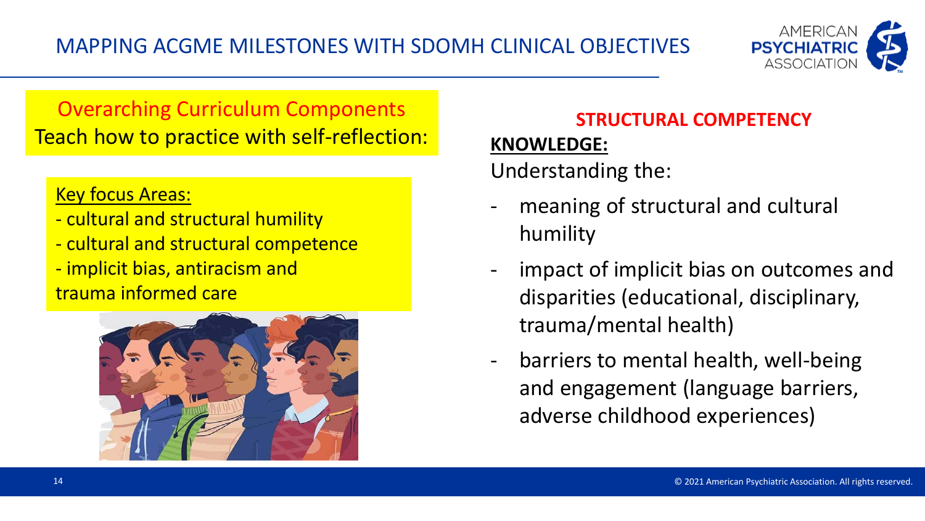

# Overarching Curriculum Components Teach how to practice with self-reflection:

#### Key focus Areas:

- cultural and structural humility
- cultural and structural competence
- implicit bias, antiracism and trauma informed care



# **STRUCTURAL COMPETENCY**

#### **KNOWLEDGE:**

Understanding the:

- meaning of structural and cultural humility
- impact of implicit bias on outcomes and disparities (educational, disciplinary, trauma/mental health)
- barriers to mental health, well-being and engagement (language barriers, adverse childhood experiences)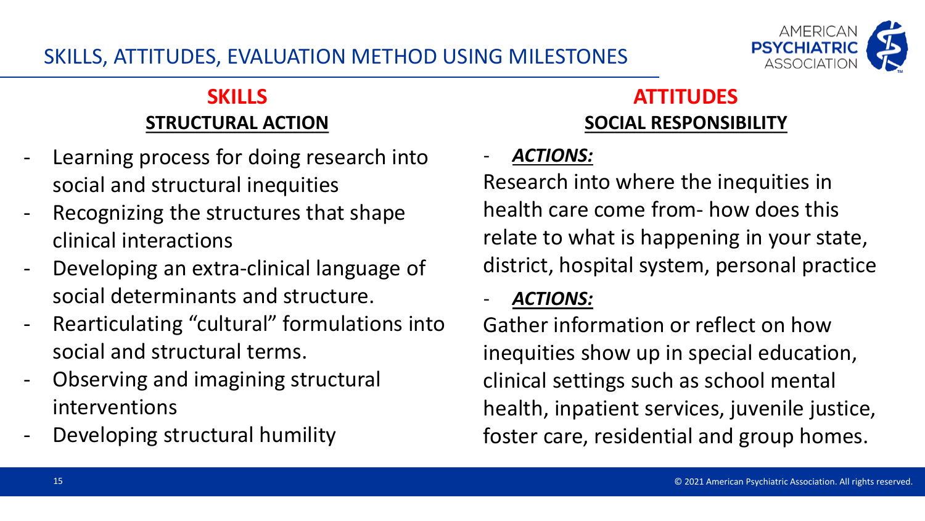#### SKILLS, ATTITUDES, EVALUATION METHOD USING MILESTONES



#### **SKILLS STRUCTURAL ACTION**

- Learning process for doing research into social and structural inequities
- Recognizing the structures that shape clinical interactions
- Developing an extra-clinical language of social determinants and structure.
- Rearticulating "cultural" formulations into social and structural terms.
- Observing and imagining structural interventions
- Developing structural humility

# **ATTITUDES SOCIAL RESPONSIBILITY**

#### - *ACTIONS:*

Research into where the inequities in health care come from- how does this relate to what is happening in your state, district, hospital system, personal practice

#### - *ACTIONS:*

Gather information or reflect on how inequities show up in special education, clinical settings such as school mental health, inpatient services, juvenile justice, foster care, residential and group homes.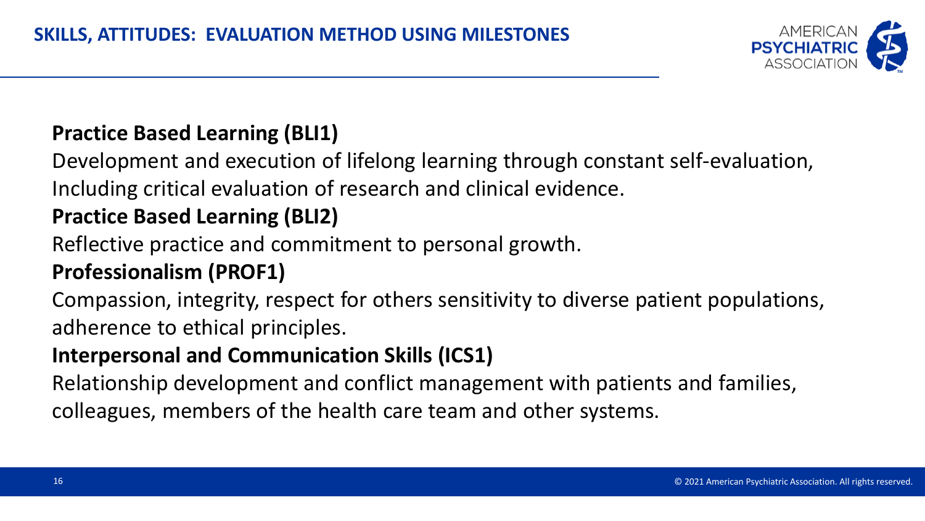

#### **Practice Based Learning (BLI1)**

Development and execution of lifelong learning through constant self-evaluation, Including critical evaluation of research and clinical evidence.

# **Practice Based Learning (BLI2)**

Reflective practice and commitment to personal growth.

# **Professionalism (PROF1)**

Compassion, integrity, respect for others sensitivity to diverse patient populations, adherence to ethical principles.

# **Interpersonal and Communication Skills (ICS1)**

Relationship development and conflict management with patients and families, colleagues, members of the health care team and other systems.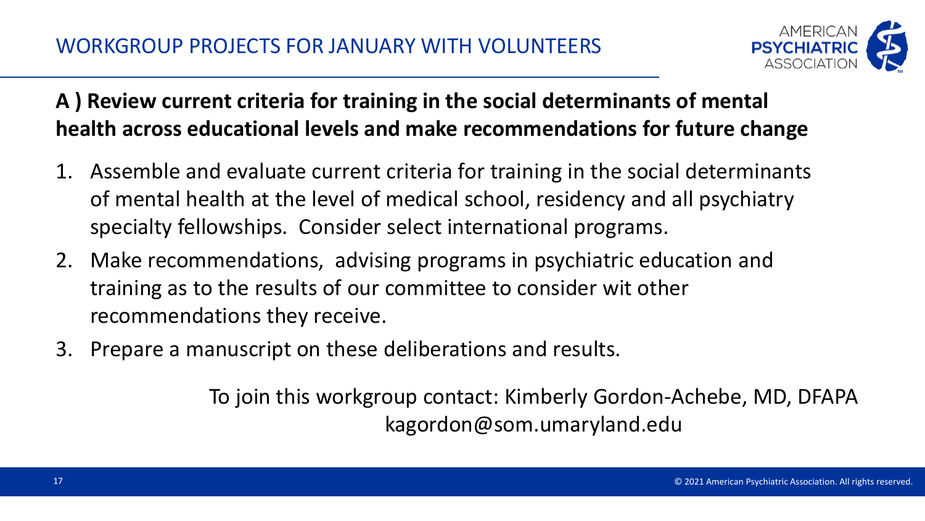

**A ) Review current criteria for training in the social determinants of mental health across educational levels and make recommendations for future change** 

- 1. Assemble and evaluate current criteria for training in the social determinants of mental health at the level of medical school, residency and all psychiatry specialty fellowships. Consider select international programs.
- 2. Make recommendations, advising programs in psychiatric education and training as to the results of our committee to consider wit other recommendations they receive.
- 3. Prepare a manuscript on these deliberations and results.

To join this workgroup contact: Kimberly Gordon-Achebe, MD, DFAPA kagordon@som.umaryland.edu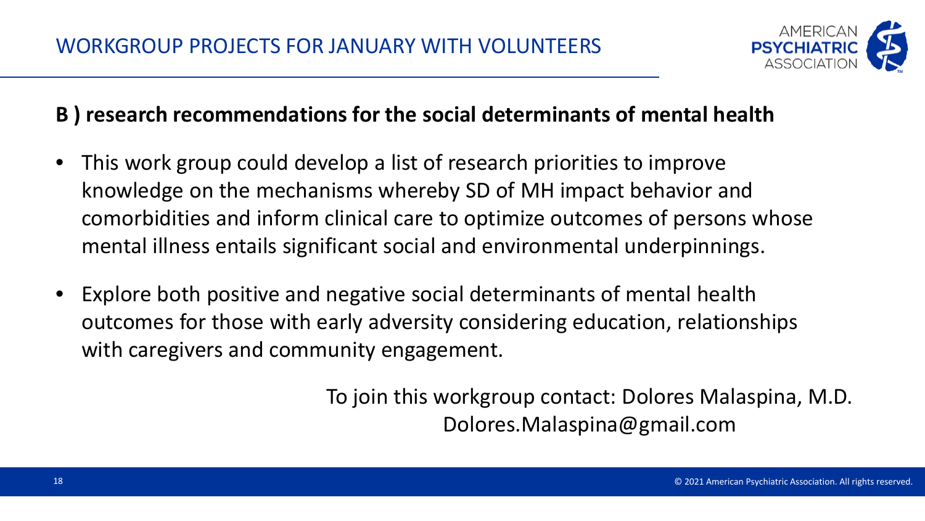

#### **B ) research recommendations for the social determinants of mental health**

- This work group could develop a list of research priorities to improve knowledge on the mechanisms whereby SD of MH impact behavior and comorbidities and inform clinical care to optimize outcomes of persons whose mental illness entails significant social and environmental underpinnings.
- Explore both positive and negative social determinants of mental health outcomes for those with early adversity considering education, relationships with caregivers and community engagement.

To join this workgroup contact: Dolores Malaspina, M.D. Dolores.Malaspina@gmail.com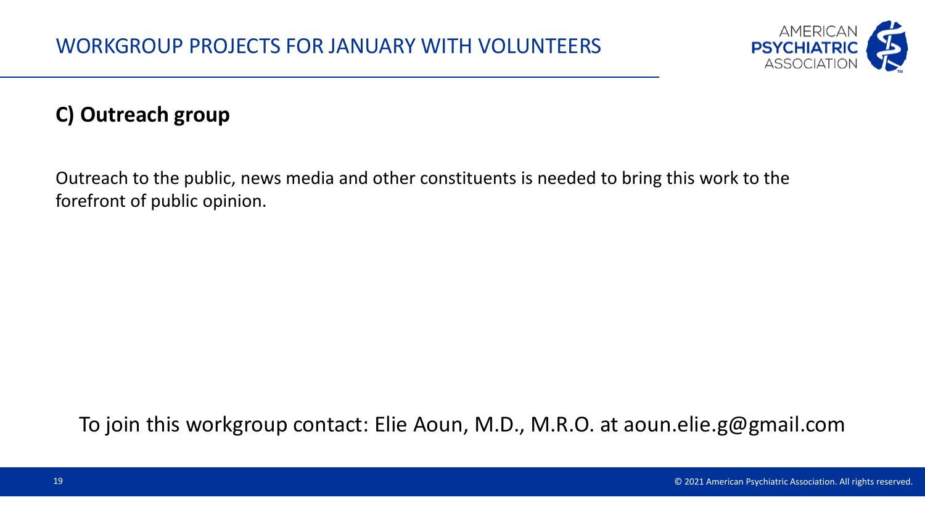

### **C) Outreach group**

Outreach to the public, news media and other constituents is needed to bring this work to the forefront of public opinion.

To join this workgroup contact: Elie Aoun, M.D., M.R.O. at aoun.elie.g@gmail.com